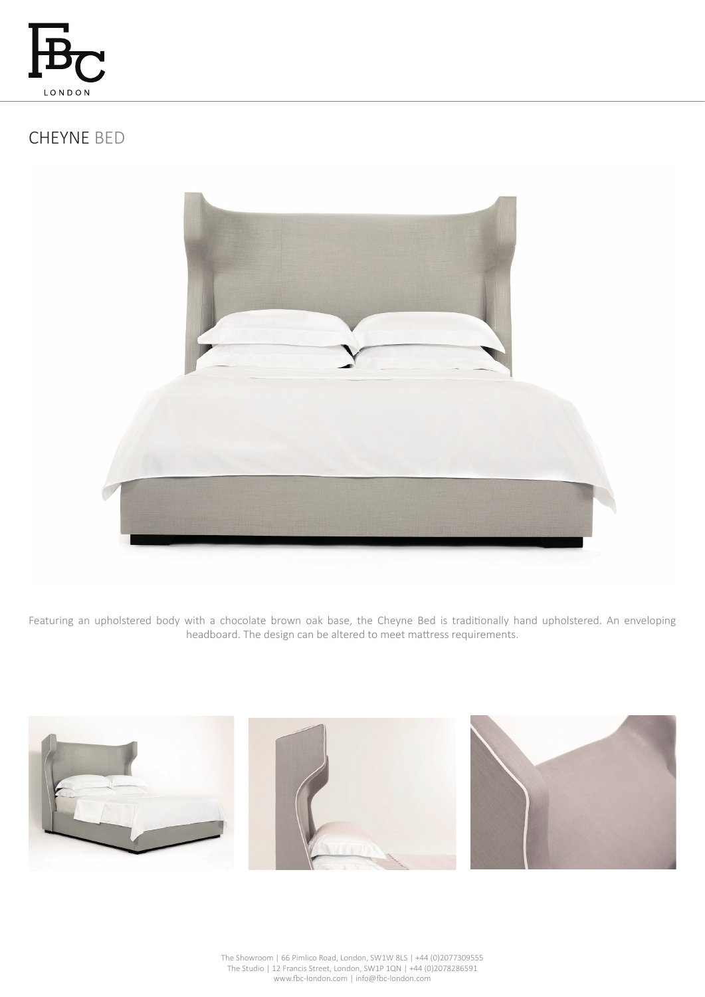

# CHEYNE BED



Featuring an upholstered body with a chocolate brown oak base, the Cheyne Bed is traditionally hand upholstered. An enveloping headboard. The design can be altered to meet mattress requirements.